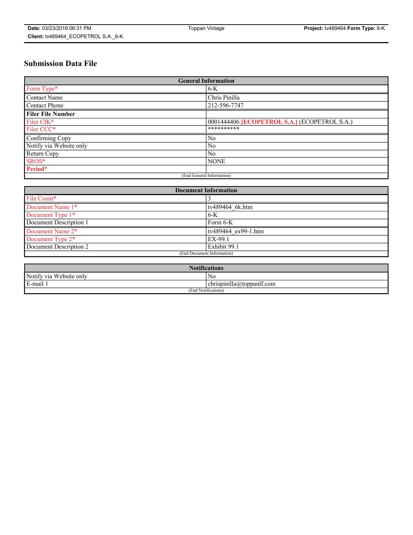# **Submission Data File**

| <b>General Information</b> |                                                     |
|----------------------------|-----------------------------------------------------|
| Form Type*                 | $6-K$                                               |
| Contact Name               | Chris Pinilla                                       |
| <b>Contact Phone</b>       | 212-596-7747                                        |
| <b>Filer File Number</b>   |                                                     |
| Filer CIK*                 | 0001444406 <b>ECOPETROL S.A.</b> ] (ECOPETROL S.A.) |
| Filer CCC*                 | **********                                          |
| Confirming Copy            | N <sub>0</sub>                                      |
| Notify via Website only    | N <sub>0</sub>                                      |
| Return Copy                | N <sub>0</sub>                                      |
| SROS*                      | <b>NONE</b>                                         |
| Period*                    |                                                     |
| (End General Information)  |                                                     |

| <b>Document Information</b> |                     |
|-----------------------------|---------------------|
| File Count*                 |                     |
| Document Name 1*            | tv489464 6k.htm     |
| Document Type 1*            | $6-K$               |
| Document Description 1      | Form 6-K            |
| Document Name 2*            | tv489464 ex99-1.htm |
| Document Type 2*            | EX-99.1             |
| Document Description 2      | Exhibit 99.1        |
| (End Document Information)  |                     |

| <b>Notifications</b>       |                                 |  |
|----------------------------|---------------------------------|--|
| Notify via<br>Website only | N <sub>0</sub>                  |  |
| $E$ -mail 1                | <br>chrispinilla(a)toppanif.com |  |
| (End Notifications)        |                                 |  |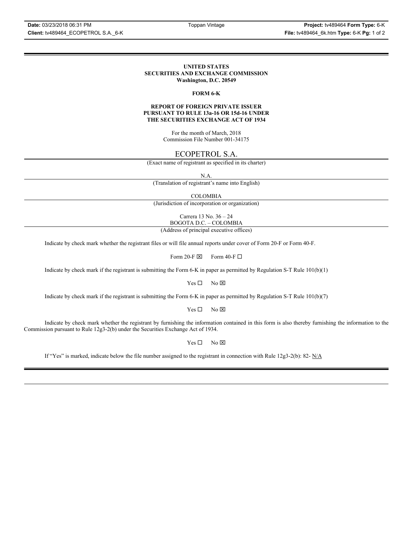### **UNITED STATES SECURITIES AND EXCHANGE COMMISSION Washington, D.C. 20549**

### **FORM 6-K**

### **REPORT OF FOREIGN PRIVATE ISSUER PURSUANT TO RULE 13a-16 OR 15d-16 UNDER THE SECURITIES EXCHANGE ACT OF 1934**

For the month of March, 2018 Commission File Number 001-34175

# ECOPETROL S.A.

(Exact name of registrant as specified in its charter)

N.A.

(Translation of registrant's name into English)

COLOMBIA

(Jurisdiction of incorporation or organization)

Carrera 13 No. 36 – 24 BOGOTA D.C. – COLOMBIA

(Address of principal executive offices)

Indicate by check mark whether the registrant files or will file annual reports under cover of Form 20-F or Form 40-F.

Form 20-F  $\boxtimes$  Form 40-F  $\Box$ 

Indicate by check mark if the registrant is submitting the Form 6-K in paper as permitted by Regulation S-T Rule 101(b)(1)

 $Yes \Box$  No  $\boxtimes$ 

Indicate by check mark if the registrant is submitting the Form 6-K in paper as permitted by Regulation S-T Rule 101(b)(7)

 $Yes \Box$  No  $\boxtimes$ 

Indicate by check mark whether the registrant by furnishing the information contained in this form is also thereby furnishing the information to the Commission pursuant to Rule 12g3-2(b) under the Securities Exchange Act of 1934.

 $Yes \Box$  No  $\boxtimes$ 

If "Yes" is marked, indicate below the file number assigned to the registrant in connection with Rule 12g3-2(b): 82-  $N/A$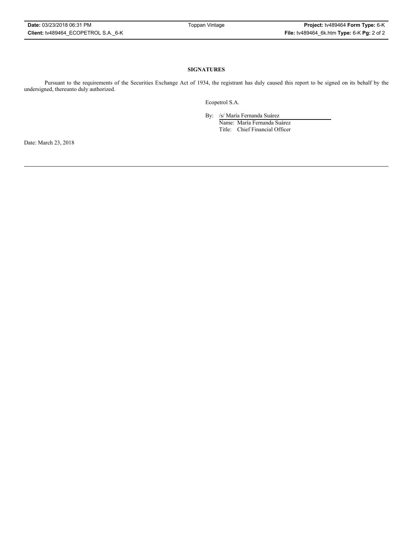### **SIGNATURES**

Pursuant to the requirements of the Securities Exchange Act of 1934, the registrant has duly caused this report to be signed on its behalf by the undersigned, thereunto duly authorized.

Ecopetrol S.A.

By: /s/ María Fernanda Suárez

Name: María Fernanda Suárez Title: Chief Financial Officer

Date: March 23, 2018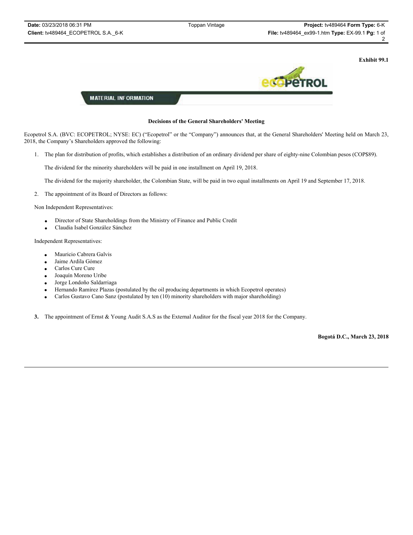**Exhibit 99.1**



## **Decisions of the General Shareholders' Meeting**

Ecopetrol S.A. (BVC: ECOPETROL; NYSE: EC) ("Ecopetrol" or the "Company") announces that, at the General Shareholders' Meeting held on March 23, 2018, the Company's Shareholders approved the following:

1. The plan for distribution of profits, which establishes a distribution of an ordinary dividend per share of eighty-nine Colombian pesos (COP\$89).

The dividend for the minority shareholders will be paid in one installment on April 19, 2018.

The dividend for the majority shareholder, the Colombian State, will be paid in two equal installments on April 19 and September 17, 2018.

2. The appointment of its Board of Directors as follows:

**MATERIAL INFORMATION** 

Non Independent Representatives:

- Director of State Shareholdings from the Ministry of Finance and Public Credit
- x Claudia Isabel González Sánchez

Independent Representatives:

- Mauricio Cabrera Galvis
- Jaime Ardila Gómez
- Carlos Cure Cure
- Joaquín Moreno Uribe
- Jorge Londoño Saldarriaga
- Hernando Ramírez Plazas (postulated by the oil producing departments in which Ecopetrol operates)
- Carlos Gustavo Cano Sanz (postulated by ten (10) minority shareholders with major shareholding)

**3.** The appointment of Ernst & Young Audit S.A.S as the External Auditor for the fiscal year 2018 for the Company.

**Bogotá D.C., March 23, 2018**